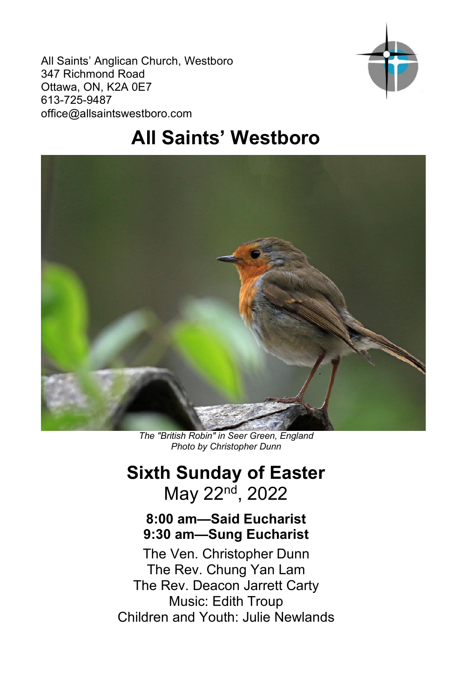All Saints' Anglican Church, Westboro 347 Richmond Road Ottawa, ON, K2A 0E7 613-725-9487 office@allsaintswestboro.com



# **All Saints' Westboro**



*The "British Robin" in Seer Green, England Photo by Christopher Dunn*

## **Sixth Sunday of Easter** May 22nd, 2022

## **8:00 am—Said Eucharist 9:30 am—Sung Eucharist**

The Ven. Christopher Dunn The Rev. Chung Yan Lam The Rev. Deacon Jarrett Carty Music: Edith Troup Children and Youth: Julie Newlands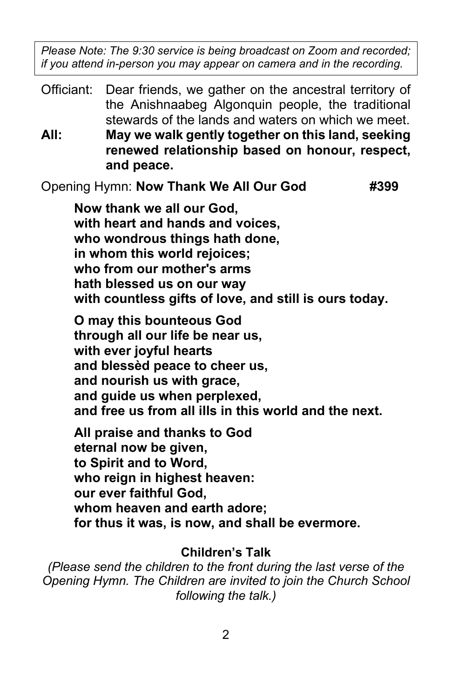*Please Note: The 9:30 service is being broadcast on Zoom and recorded; if you attend in-person you may appear on camera and in the recording.*

Officiant: Dear friends, we gather on the ancestral territory of the Anishnaabeg Algonquin people, the traditional stewards of the lands and waters on which we meet. **All: May we walk gently together on this land, seeking renewed relationship based on honour, respect, and peace.**

Opening Hymn: **Now Thank We All Our God #399**

**Now thank we all our God, with heart and hands and voices, who wondrous things hath done, in whom this world rejoices; who from our mother's arms hath blessed us on our way with countless gifts of love, and still is ours today.**

**O may this bounteous God through all our life be near us, with ever joyful hearts and blessèd peace to cheer us, and nourish us with grace, and guide us when perplexed, and free us from all ills in this world and the next.**

**All praise and thanks to God eternal now be given, to Spirit and to Word, who reign in highest heaven: our ever faithful God, whom heaven and earth adore; for thus it was, is now, and shall be evermore.**

#### **Children's Talk**

*(Please send the children to the front during the last verse of the Opening Hymn. The Children are invited to join the Church School following the talk.)*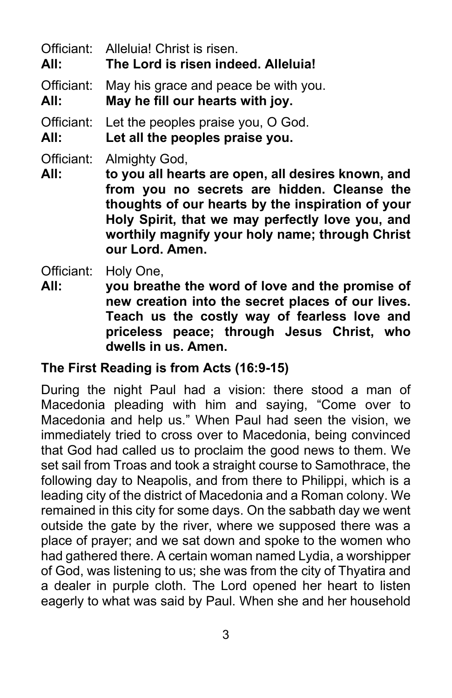Officiant: Alleluia! Christ is risen. **All: The Lord is risen indeed. Alleluia!**

Officiant: May his grace and peace be with you.

**All: May he fill our hearts with joy.**

Officiant: Let the peoples praise you, O God.

**All: Let all the peoples praise you.**

Officiant: Almighty God,

**All: to you all hearts are open, all desires known, and from you no secrets are hidden. Cleanse the thoughts of our hearts by the inspiration of your Holy Spirit, that we may perfectly love you, and worthily magnify your holy name; through Christ our Lord. Amen.**

Officiant: Holy One,

**All: you breathe the word of love and the promise of new creation into the secret places of our lives. Teach us the costly way of fearless love and priceless peace; through Jesus Christ, who dwells in us. Amen.**

## **The First Reading is from Acts (16:9-15)**

During the night Paul had a vision: there stood a man of Macedonia pleading with him and saying, "Come over to Macedonia and help us." When Paul had seen the vision, we immediately tried to cross over to Macedonia, being convinced that God had called us to proclaim the good news to them. We set sail from Troas and took a straight course to Samothrace, the following day to Neapolis, and from there to Philippi, which is a leading city of the district of Macedonia and a Roman colony. We remained in this city for some days. On the sabbath day we went outside the gate by the river, where we supposed there was a place of prayer; and we sat down and spoke to the women who had gathered there. A certain woman named Lydia, a worshipper of God, was listening to us; she was from the city of Thyatira and a dealer in purple cloth. The Lord opened her heart to listen eagerly to what was said by Paul. When she and her household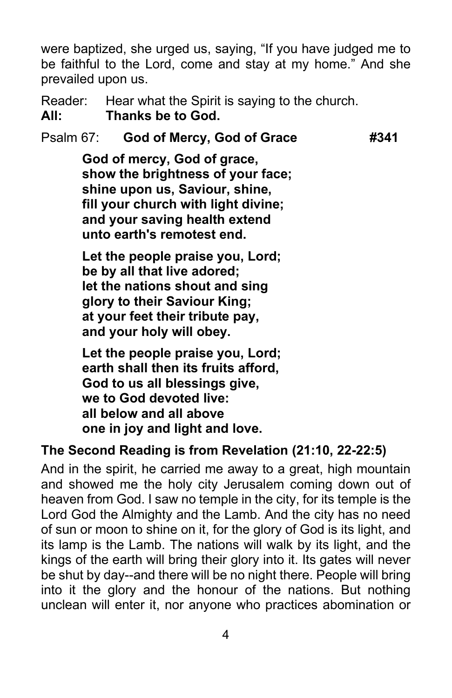were baptized, she urged us, saying, "If you have judged me to be faithful to the Lord, come and stay at my home." And she prevailed upon us.

Reader: Hear what the Spirit is saying to the church. **All: Thanks be to God.**

## Psalm 67: **God of Mercy, God of Grace #341**

**God of mercy, God of grace, show the brightness of your face; shine upon us, Saviour, shine, fill your church with light divine; and your saving health extend unto earth's remotest end.**

**Let the people praise you, Lord; be by all that live adored; let the nations shout and sing glory to their Saviour King; at your feet their tribute pay, and your holy will obey.**

**Let the people praise you, Lord; earth shall then its fruits afford, God to us all blessings give, we to God devoted live: all below and all above one in joy and light and love.**

#### **The Second Reading is from Revelation (21:10, 22-22:5)**

And in the spirit, he carried me away to a great, high mountain and showed me the holy city Jerusalem coming down out of heaven from God. I saw no temple in the city, for its temple is the Lord God the Almighty and the Lamb. And the city has no need of sun or moon to shine on it, for the glory of God is its light, and its lamp is the Lamb. The nations will walk by its light, and the kings of the earth will bring their glory into it. Its gates will never be shut by day--and there will be no night there. People will bring into it the glory and the honour of the nations. But nothing unclean will enter it, nor anyone who practices abomination or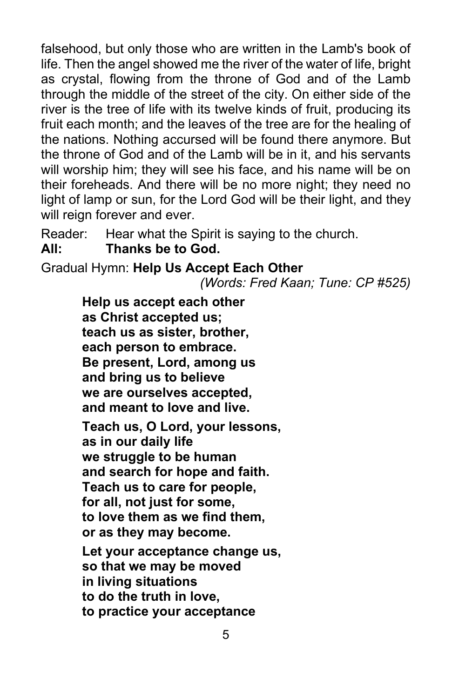falsehood, but only those who are written in the Lamb's book of life. Then the angel showed me the river of the water of life, bright as crystal, flowing from the throne of God and of the Lamb through the middle of the street of the city. On either side of the river is the tree of life with its twelve kinds of fruit, producing its fruit each month; and the leaves of the tree are for the healing of the nations. Nothing accursed will be found there anymore. But the throne of God and of the Lamb will be in it, and his servants will worship him; they will see his face, and his name will be on their foreheads. And there will be no more night; they need no light of lamp or sun, for the Lord God will be their light, and they will reign forever and ever.

Reader: Hear what the Spirit is saying to the church.

**All: Thanks be to God.**

Gradual Hymn: **Help Us Accept Each Other**

*(Words: Fred Kaan; Tune: CP #525)*

**Help us accept each other as Christ accepted us; teach us as sister, brother, each person to embrace. Be present, Lord, among us and bring us to believe we are ourselves accepted, and meant to love and live.**

**Teach us, O Lord, your lessons, as in our daily life we struggle to be human and search for hope and faith. Teach us to care for people, for all, not just for some, to love them as we find them, or as they may become.**

**Let your acceptance change us, so that we may be moved in living situations to do the truth in love, to practice your acceptance**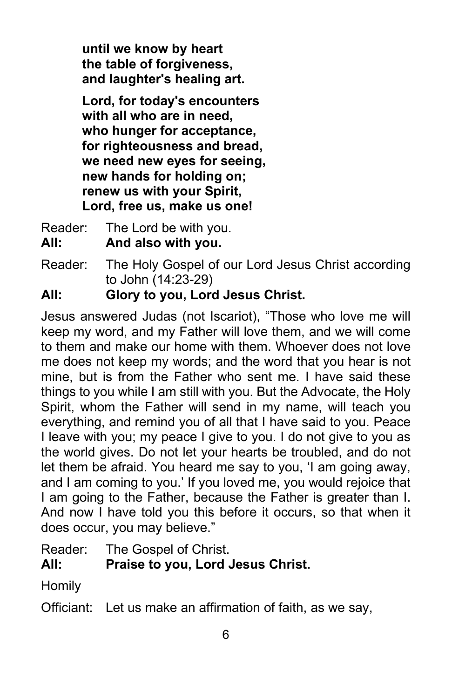**until we know by heart the table of forgiveness, and laughter's healing art.**

**Lord, for today's encounters with all who are in need, who hunger for acceptance, for righteousness and bread, we need new eyes for seeing, new hands for holding on; renew us with your Spirit, Lord, free us, make us one!**

- Reader: The Lord be with you.
- **All: And also with you.**
- Reader: The Holy Gospel of our Lord Jesus Christ according to John (14:23-29)

**All: Glory to you, Lord Jesus Christ.**

Jesus answered Judas (not Iscariot), "Those who love me will keep my word, and my Father will love them, and we will come to them and make our home with them. Whoever does not love me does not keep my words; and the word that you hear is not mine, but is from the Father who sent me. I have said these things to you while I am still with you. But the Advocate, the Holy Spirit, whom the Father will send in my name, will teach you everything, and remind you of all that I have said to you. Peace I leave with you; my peace I give to you. I do not give to you as the world gives. Do not let your hearts be troubled, and do not let them be afraid. You heard me say to you, 'I am going away, and I am coming to you.' If you loved me, you would rejoice that I am going to the Father, because the Father is greater than I. And now I have told you this before it occurs, so that when it does occur, you may believe."

Reader: The Gospel of Christ.

## **All: Praise to you, Lord Jesus Christ.**

Homily

Officiant: Let us make an affirmation of faith, as we say,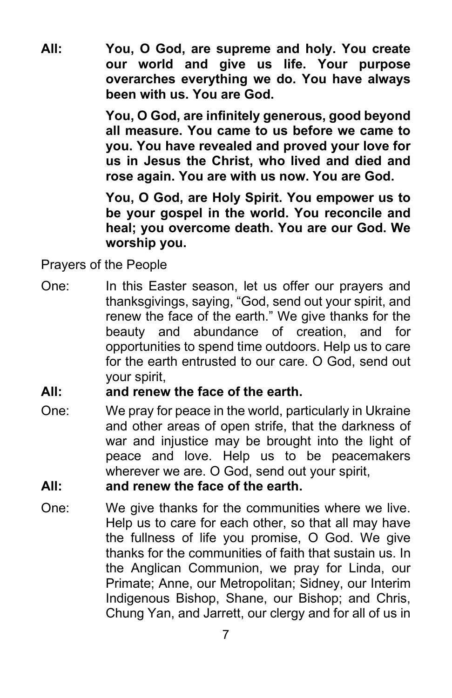**All: You, O God, are supreme and holy. You create our world and give us life. Your purpose overarches everything we do. You have always been with us. You are God.** 

> **You, O God, are infinitely generous, good beyond all measure. You came to us before we came to you. You have revealed and proved your love for us in Jesus the Christ, who lived and died and rose again. You are with us now. You are God.**

> **You, O God, are Holy Spirit. You empower us to be your gospel in the world. You reconcile and heal; you overcome death. You are our God. We worship you.**

Prayers of the People

One: In this Easter season, let us offer our prayers and thanksgivings, saying, "God, send out your spirit, and renew the face of the earth." We give thanks for the beauty and abundance of creation, and for opportunities to spend time outdoors. Help us to care for the earth entrusted to our care. O God, send out your spirit,

#### **All: and renew the face of the earth.**

One: We pray for peace in the world, particularly in Ukraine and other areas of open strife, that the darkness of war and injustice may be brought into the light of peace and love. Help us to be peacemakers wherever we are. O God, send out your spirit,

#### **All: and renew the face of the earth.**

One: We give thanks for the communities where we live. Help us to care for each other, so that all may have the fullness of life you promise, O God. We give thanks for the communities of faith that sustain us. In the Anglican Communion, we pray for Linda, our Primate; Anne, our Metropolitan; Sidney, our Interim Indigenous Bishop, Shane, our Bishop; and Chris, Chung Yan, and Jarrett, our clergy and for all of us in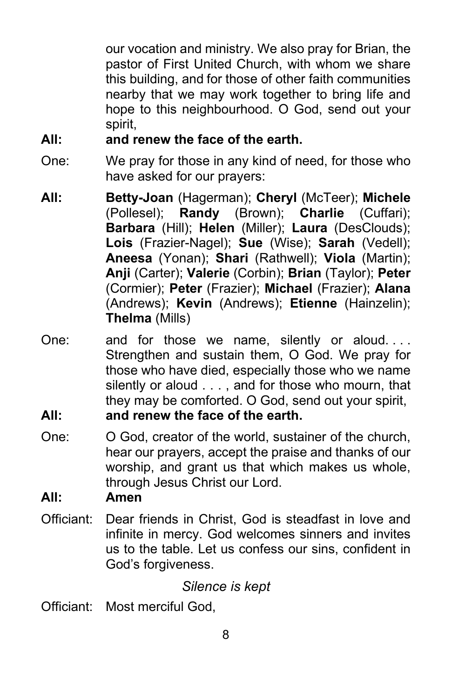our vocation and ministry. We also pray for Brian, the pastor of First United Church, with whom we share this building, and for those of other faith communities nearby that we may work together to bring life and hope to this neighbourhood. O God, send out your spirit,

#### **All: and renew the face of the earth.**

- One: We pray for those in any kind of need, for those who have asked for our prayers:
- **All: Betty-Joan** (Hagerman); **Cheryl** (McTeer); **Michele** (Pollesel); **Randy** (Brown); **Charlie** (Cuffari); **Barbara** (Hill); **Helen** (Miller); **Laura** (DesClouds); **Lois** (Frazier-Nagel); **Sue** (Wise); **Sarah** (Vedell); **Aneesa** (Yonan); **Shari** (Rathwell); **Viola** (Martin); **Anji** (Carter); **Valerie** (Corbin); **Brian** (Taylor); **Peter** (Cormier); **Peter** (Frazier); **Michael** (Frazier); **Alana** (Andrews); **Kevin** (Andrews); **Etienne** (Hainzelin); **Thelma** (Mills)
- One: and for those we name, silently or aloud. . . . Strengthen and sustain them, O God. We pray for those who have died, especially those who we name silently or aloud . . . , and for those who mourn, that they may be comforted. O God, send out your spirit, **All: and renew the face of the earth.**
- One: O God, creator of the world, sustainer of the church, hear our prayers, accept the praise and thanks of our worship, and grant us that which makes us whole, through Jesus Christ our Lord.

#### **All: Amen**

Officiant: Dear friends in Christ, God is steadfast in love and infinite in mercy. God welcomes sinners and invites us to the table. Let us confess our sins, confident in God's forgiveness.

## *Silence is kept*

Officiant: Most merciful God,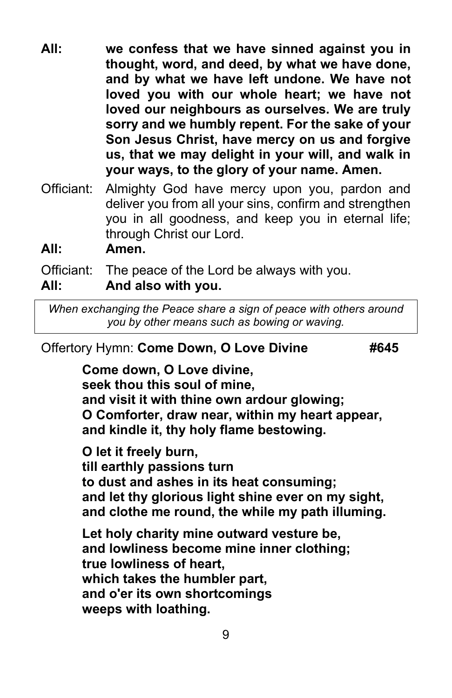- **All: we confess that we have sinned against you in thought, word, and deed, by what we have done, and by what we have left undone. We have not loved you with our whole heart; we have not loved our neighbours as ourselves. We are truly sorry and we humbly repent. For the sake of your Son Jesus Christ, have mercy on us and forgive us, that we may delight in your will, and walk in your ways, to the glory of your name. Amen.**
- Officiant: Almighty God have mercy upon you, pardon and deliver you from all your sins, confirm and strengthen you in all goodness, and keep you in eternal life; through Christ our Lord.
- **All: Amen.**

Officiant: The peace of the Lord be always with you.

#### **All: And also with you.**

*When exchanging the Peace share a sign of peace with others around you by other means such as bowing or waving.*

#### Offertory Hymn: Come Down, O Love Divine **#645**

**Come down, O Love divine, seek thou this soul of mine, and visit it with thine own ardour glowing; O Comforter, draw near, within my heart appear, and kindle it, thy holy flame bestowing.** 

**O let it freely burn, till earthly passions turn to dust and ashes in its heat consuming; and let thy glorious light shine ever on my sight, and clothe me round, the while my path illuming.** 

**Let holy charity mine outward vesture be, and lowliness become mine inner clothing; true lowliness of heart, which takes the humbler part, and o'er its own shortcomings weeps with loathing.**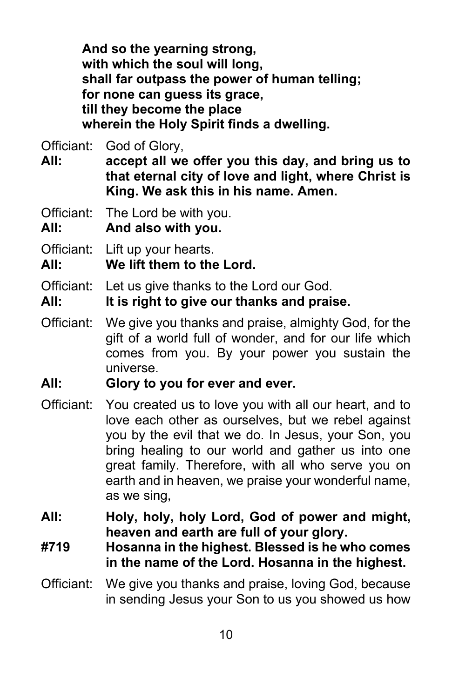**And so the yearning strong, with which the soul will long, shall far outpass the power of human telling; for none can guess its grace, till they become the place wherein the Holy Spirit finds a dwelling.**

Officiant: God of Glory,

**All: accept all we offer you this day, and bring us to that eternal city of love and light, where Christ is King. We ask this in his name. Amen.**

Officiant: The Lord be with you.

**All: And also with you.**

Officiant: Lift up your hearts.

**All: We lift them to the Lord.**

Officiant: Let us give thanks to the Lord our God.

**All: It is right to give our thanks and praise.**

Officiant: We give you thanks and praise, almighty God, for the gift of a world full of wonder, and for our life which comes from you. By your power you sustain the universe.

#### **All: Glory to you for ever and ever.**

- Officiant: You created us to love you with all our heart, and to love each other as ourselves, but we rebel against you by the evil that we do. In Jesus, your Son, you bring healing to our world and gather us into one great family. Therefore, with all who serve you on earth and in heaven, we praise your wonderful name, as we sing,
- **All: Holy, holy, holy Lord, God of power and might, heaven and earth are full of your glory.**
- **#719 Hosanna in the highest. Blessed is he who comes in the name of the Lord. Hosanna in the highest.**
- Officiant: We give you thanks and praise, loving God, because in sending Jesus your Son to us you showed us how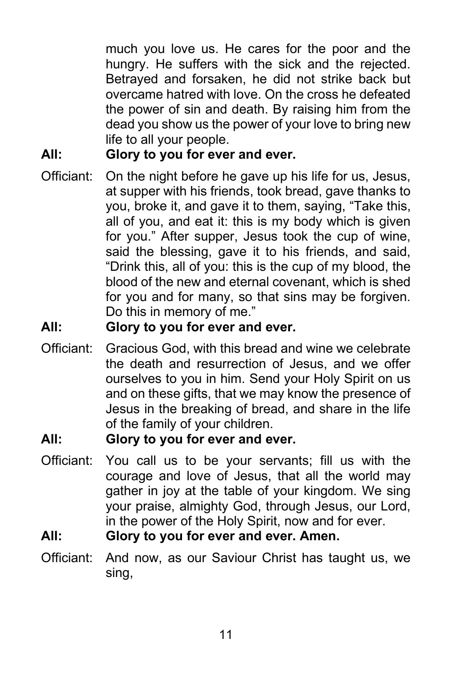much you love us. He cares for the poor and the hungry. He suffers with the sick and the rejected. Betrayed and forsaken, he did not strike back but overcame hatred with love. On the cross he defeated the power of sin and death. By raising him from the dead you show us the power of your love to bring new life to all your people.

## **All: Glory to you for ever and ever.**

Officiant: On the night before he gave up his life for us, Jesus, at supper with his friends, took bread, gave thanks to you, broke it, and gave it to them, saying, "Take this, all of you, and eat it: this is my body which is given for you." After supper, Jesus took the cup of wine, said the blessing, gave it to his friends, and said, "Drink this, all of you: this is the cup of my blood, the blood of the new and eternal covenant, which is shed for you and for many, so that sins may be forgiven. Do this in memory of me."

#### **All: Glory to you for ever and ever.**

Officiant: Gracious God, with this bread and wine we celebrate the death and resurrection of Jesus, and we offer ourselves to you in him. Send your Holy Spirit on us and on these gifts, that we may know the presence of Jesus in the breaking of bread, and share in the life of the family of your children.

#### **All: Glory to you for ever and ever.**

Officiant: You call us to be your servants; fill us with the courage and love of Jesus, that all the world may gather in joy at the table of your kingdom. We sing your praise, almighty God, through Jesus, our Lord, in the power of the Holy Spirit, now and for ever.

### **All: Glory to you for ever and ever. Amen.**

Officiant: And now, as our Saviour Christ has taught us, we sing,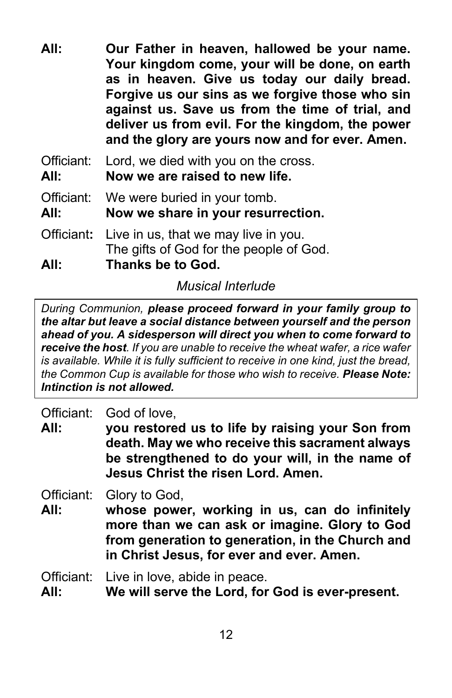**All: Our Father in heaven, hallowed be your name. Your kingdom come, your will be done, on earth as in heaven. Give us today our daily bread. Forgive us our sins as we forgive those who sin against us. Save us from the time of trial, and deliver us from evil. For the kingdom, the power and the glory are yours now and for ever. Amen.**

Officiant: Lord, we died with you on the cross.

**All: Now we are raised to new life.**

Officiant: We were buried in your tomb.

**All: Now we share in your resurrection.**

Officiant**:** Live in us, that we may live in you. The gifts of God for the people of God.

**All: Thanks be to God.**

*Musical Interlude*

*During Communion, please proceed forward in your family group to the altar but leave a social distance between yourself and the person ahead of you. A sidesperson will direct you when to come forward to receive the host. If you are unable to receive the wheat wafer, a rice wafer is available. While it is fully sufficient to receive in one kind, just the bread, the Common Cup is available for those who wish to receive. Please Note: Intinction is not allowed.*

Officiant: God of love,

**All: you restored us to life by raising your Son from death. May we who receive this sacrament always be strengthened to do your will, in the name of Jesus Christ the risen Lord. Amen.**

Officiant: Glory to God,

**All: whose power, working in us, can do infinitely more than we can ask or imagine. Glory to God from generation to generation, in the Church and in Christ Jesus, for ever and ever. Amen.**

Officiant: Live in love, abide in peace.

**All: We will serve the Lord, for God is ever-present.**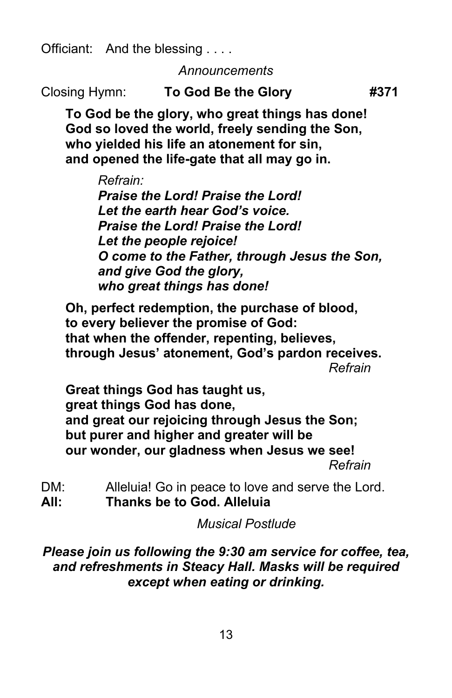Officiant: And the blessing . . . .

*Announcements*

Closing Hymn: **To God Be the Glory #371**

**To God be the glory, who great things has done! God so loved the world, freely sending the Son, who yielded his life an atonement for sin, and opened the life-gate that all may go in.**

*Refrain:*

*Praise the Lord! Praise the Lord! Let the earth hear God's voice. Praise the Lord! Praise the Lord! Let the people rejoice! O come to the Father, through Jesus the Son, and give God the glory, who great things has done!*

**Oh, perfect redemption, the purchase of blood, to every believer the promise of God: that when the offender, repenting, believes, through Jesus' atonement, God's pardon receives.** *Refrain*

**Great things God has taught us, great things God has done, and great our rejoicing through Jesus the Son; but purer and higher and greater will be our wonder, our gladness when Jesus we see!** *Refrain*

DM: Alleluia! Go in peace to love and serve the Lord. **All: Thanks be to God. Alleluia**

*Musical Postlude*

*Please join us following the 9:30 am service for coffee, tea, and refreshments in Steacy Hall. Masks will be required except when eating or drinking.*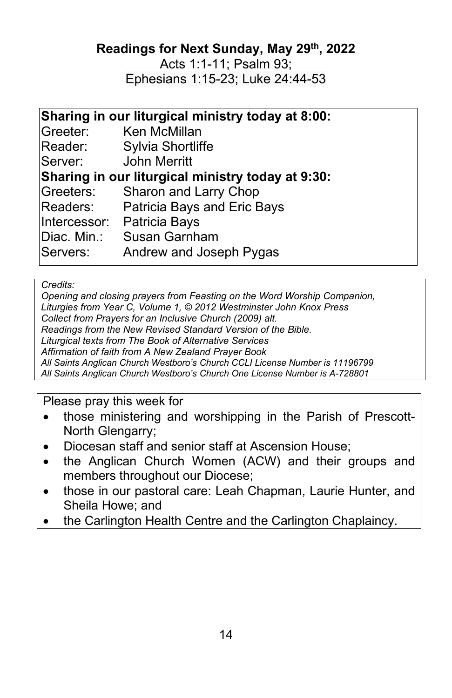**Readings for Next Sunday, May 29th, 2022**

Acts 1:1-11; Psalm 93; Ephesians 1:15-23; Luke 24:44-53

## **Sharing in our liturgical ministry today at 8:00:**

| Greeter:    | Ken McMillan                                      |  |  |
|-------------|---------------------------------------------------|--|--|
| Reader:     | Sylvia Shortliffe                                 |  |  |
| Server:     | John Merritt                                      |  |  |
|             | Sharing in our liturgical ministry today at 9:30: |  |  |
| Greeters:   | Sharon and Larry Chop                             |  |  |
| Readers:    | Patricia Bays and Eric Bays                       |  |  |
|             | Intercessor: Patricia Bays                        |  |  |
| Diac. Min.: | <b>Susan Garnham</b>                              |  |  |
| Servers:    | Andrew and Joseph Pygas                           |  |  |
|             |                                                   |  |  |

#### *Credits:*

*Opening and closing prayers from Feasting on the Word Worship Companion, Liturgies from Year C, Volume 1, © 2012 Westminster John Knox Press Collect from Prayers for an Inclusive Church (2009) alt. Readings from the New Revised Standard Version of the Bible. Liturgical texts from The Book of Alternative Services Affirmation of faith from A New Zealand Prayer Book All Saints Anglican Church Westboro's Church CCLI License Number is 11196799 All Saints Anglican Church Westboro's Church One License Number is A-728801*

#### Please pray this week for

- those ministering and worshipping in the Parish of Prescott-North Glengarry;
- Diocesan staff and senior staff at Ascension House;
- the Anglican Church Women (ACW) and their groups and members throughout our Diocese;
- those in our pastoral care: Leah Chapman, Laurie Hunter, and Sheila Howe; and
- the Carlington Health Centre and the Carlington Chaplaincy.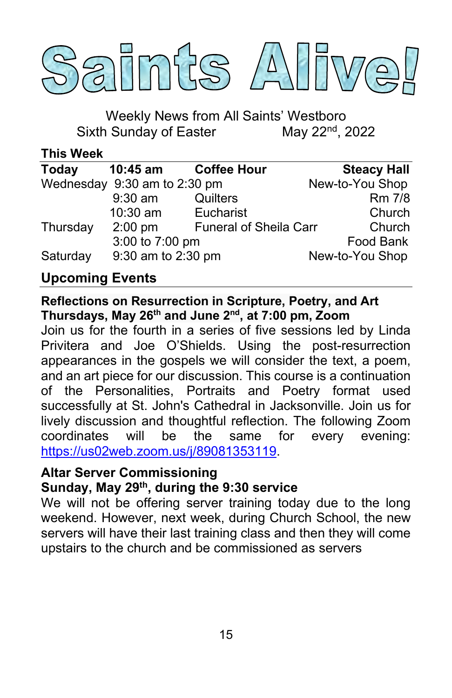

Weekly News from All Saints' Westboro<br>I Sunday of Easter May 22<sup>nd</sup>, 2022 Sixth Sunday of Easter

**This Week**

| <b>Today</b> | $10:45$ am                   | <b>Coffee Hour</b>            | <b>Steacy Hall</b> |
|--------------|------------------------------|-------------------------------|--------------------|
|              | Wednesday 9:30 am to 2:30 pm |                               | New-to-You Shop    |
|              | $9:30$ am                    | <b>Quilters</b>               | <b>Rm 7/8</b>      |
|              | 10:30 am                     | Eucharist                     | Church             |
| Thursday     | $2:00$ pm                    | <b>Funeral of Sheila Carr</b> | Church             |
|              | 3:00 to 7:00 pm              |                               | Food Bank          |
| Saturday     | 9:30 am to 2:30 pm           |                               | New-to-You Shop    |

## **Upcoming Events**

**Reflections on Resurrection in Scripture, Poetry, and Art Thursdays, May 26th and June 2nd, at 7:00 pm, Zoom**

Join us for the fourth in a series of five sessions led by Linda Privitera and Joe O'Shields. Using the post-resurrection appearances in the gospels we will consider the text, a poem, and an art piece for our discussion. This course is a continuation of the Personalities, Portraits and Poetry format used successfully at St. John's Cathedral in Jacksonville. Join us for lively discussion and thoughtful reflection. The following Zoom coordinates will be the same for every evening: [https://us02web.zoom.us/j/89081353119.](https://us02web.zoom.us/j/89081353119)

#### **Altar Server Commissioning**

#### **Sunday, May 29th, during the 9:30 service**

We will not be offering server training today due to the long weekend. However, next week, during Church School, the new servers will have their last training class and then they will come upstairs to the church and be commissioned as servers